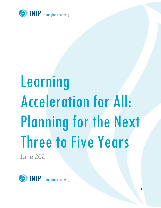

# Learning Acceleration for All: Planning for the Next Three to Five Years

1

June 2021

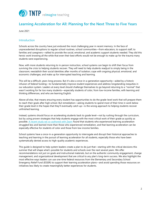

# **Learning Acceleration for All: Planning for the Next Three to Five Years**

June 2021

# Introduction

Schools across the country have just endured the most challenging year in recent memory. In the face of unprecedented disruptions to regular school routines, school communities—from educators, to support staff, to families and caregivers—rallied to provide the social, emotional, and academic support students needed. They did this heroic work knowing all the while that even their best efforts would not be enough to make up for the trauma many students were experiencing.

Now, with more students returning to in-person instruction, school systems can begin to shift their focus from surviving the crisis to helping students recover. They will need to help students readjust to simply being in the classroom; reestablish their social identities after months of isolation; cope with ongoing physical, emotional, and economic challenges; and make up for interrupted teaching and learning.

This will be a difficult, years-long process. But it's also a once-in-a-generation opportunity—aided by a historic infusion of federal funding—to fundamentally improve student experiences and address longstanding inequities in our education system. Leaders at every level should challenge themselves to go beyond returning to a "normal" that wasn't working for far too many students—especially students of color, from low-income families, with learning and thinking differences, and who are learning English.

Above all else, that means ensuring every student has opportunities to do the grade-level work that will prepare them to reach their goals after high school. But remediation—asking students to spend most of their time in work below their grade level in the hopes that they'll eventually catch up—is the wrong approach to helping students recover unfinished learning.

Instead, systems should focus on accelerating students back to grade level—not by rushing through the curriculum, but by using proven strategies that help students engage with the most critical work of their grade as quickly as possible. [A recent study we co-authored with Zearn](https://tntp.org/accelerate) found that students who experienced learning acceleration struggled less and learned more than those who experienced remediation, and that learning acceleration can be especially effective for students of color and those from low-income families.

School systems have a once-in-a-generation opportunity to interrogate and disrupt their historical approaches to teaching and learning in the pursuit of learning acceleration for all students, especially those who have been systematically denied access to high-quality academic experiences.

This guide is designed to help system leaders create a plan to do just that—starting with the critical decisions this summer that will shape what's possible for students and schools over the next several years. We offer recommendations not just on goals and instructional materials, but on the authentic community engagement, change management, and organizational development that are critical to any plan's long-term success. We also highlight the most effective ways leaders can use one-time federal resources from the Elementary and Secondary School Emergency Relief Fund (ESSER) to support their learning acceleration plans—and avoid spending those resources on initiatives less likely to create meaningfully better experiences for students.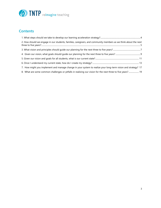

# **Contents**

| 2. How should we engage in our students, families, caregivers, and community members as we think about the next |  |
|-----------------------------------------------------------------------------------------------------------------|--|
|                                                                                                                 |  |
|                                                                                                                 |  |
|                                                                                                                 |  |
|                                                                                                                 |  |
| 7. How might you implement and manage change in your system to realize your long-term vision and strategy? 17   |  |
| 8. What are some common challenges or pitfalls in realizing our vision for the next three to five years? 19     |  |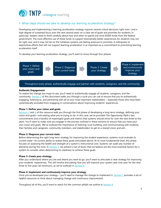

# <span id="page-3-0"></span>1. What steps should we take to develop our learning acceleration strategy?

Developing and implementing a learning acceleration strategy requires several critical decisions right now—and a high degree of sustained focus over the next several years on a clear set of goals and priorities for students. In particular, leaders need to think carefully about how and when to spend one-time ESSER funds from the federal government. The most effective use of these funds to support dramatically better experiences for students may not be right now, and it may not be on the initiatives systems are feeling pressure to prioritize. A willingness to deprioritize efforts that will not support learning acceleration is as important as a commitment to prioritizing learning acceleration itself.

To develop your learning acceleration strategy, you'll want to move through four phases:



# Throughout every phase, authentically engage and partner with students, caregivers, and the community.

# **Authentic Engagement:**

To realize the change you hope to see, you'll need to authentically engage all students, caregivers, and the community. Section 2 of this document walks you through a cycle you can use to ensure that you're authentically engaging, listening to, and partnering with all of your most important stakeholders – especially those who have been systematically excluded from engaging in conversations about improving students' experiences.

# **Phase 1: Define your vision and goals.**

Sections 3 and 4 of this resource walk you through the first phase of developing a long-term strategy, defining your vision and goals—articulating what you're trying to do. In this case, we've provided *The Opportunity Myth*'s two commitments and a handful of meaningful goals and metrics that systems should strive for over the next three to five years. You'll want to make sure you engage in the process outlined in these sections to ensure that you have your own vision and goals. We've outlined the importance of listening, trust-building, and communicating with students, their families and caregivers, community members, and stakeholders to get to a shared vision and aim.

# **Phase 2: Diagnose your current state.**

Before determining the right long-term strategy for improving the student experience, systems must evaluate its current state—its current ability to realize these goals articulated above. At its most fundamental level, this phase focuses on assessing the health and strength of a system's instructional core. Systems can audit any number of elements during this time. In **Section 5**, we present a set of levers that we believe are the most essential factors for a system to consider when determining its readiness to achieve these goals.

# **Phase 3: Create your strategy.**

After you understand where you are and where you want to go, you'll want to articulate a clear strategy for improving your students' experiences. This will involve articulating how you will improve your system year over year for the next three to five years (at minimum), as we've outlined in **Section 6**.

# **Phase 4: Implement and continuously improve your strategy.**

Once you've developed your strategy – you'll need to manage the change to implement it. Section 7 provides a set of helpful resources to think about managing change and continuous improvement.

Throughout all of this, you'll want to watch for the common pitfalls we outline in **Section 8**.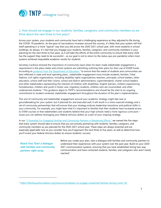

# <span id="page-4-0"></span>2. How should we engage in our students, families, caregivers, and community members as we think about the next three to five years?

Across your system, your students and community have had a challenging experience as they adjusted to life during the COVID-19 pandemic. As the pace of vaccinations increases around the country, it's likely that your system will find itself operating in a more "typical" way than you did across the 2020-2021 school year, with more students in school buildings. As always, it's vital that you engage your students, families, caregivers, and community members in your planning for the next three to five years, as it will take the efforts of the entire community to ensure that every child has the support they need to be successful – as our goal is not to return to the status quo pre-pandemic when most systems achieved inequitable academic results for students.

Secretary Cardona stressed the importance of community input when his team made stakeholder engagement a requirement in the plans states and school systems are submitting outlining their plans for their use of ESSER funds. According t[o guidance from the Department of Education,](https://www.ed.gov/news/press-releases/us-education-department-releases-state-plan-template-american-rescue-plan-elementary-and-secondary-school-emergency-relief-fund) "to ensure that the needs of students and communities are best reflected in state and local spending plans…stakeholder engagement must include students; families; Tribal Nations; civil rights organizations, including disability rights organizations; teachers, principals, school leaders, other educators, school staff and their unions, school and district administrators; superintendents; charter school leaders; and other stakeholders representing the interests of children with disabilities, English learners, children experiencing homelessness, children and youth in foster care, migratory students, children who are incarcerated, and other underserved students." This guidance aligns to TNTP's recommendations and should be the start to an ongoing commitment to student-centered, stakeholder engagement throughout the duration of the plan's implementation.

This sort of community and stakeholder engagement around your academic strategy might feel new or groundbreaking for your system, but if planned for and executed well, it will result in a more nuanced strategy and a set of community partnerships that will ensure that your strategy endures leadership transitions and political shifts in your community. For example, you might learn that it's important to families that their students have increased access to STEM courses or that stakeholders and students believe that your high schools need a more rigorous curriculum – issues you can address leveraging your federal stimulus dollars as a part of your ongoing strategy.

In our ["5 Essentials For Engaging Families and Community Partners in Reopening Efforts,"](https://tntp.org/covid-19-school-response-toolkit/view/engaging-families-and-community-partners-in-reopening-efforts) we named the five steps that every system should take to ensure that you are actively partnering with students, families, caregivers, and community members as you planned for the 2020-2021 school year. These steps are always essential and are especially applicable now as you consider how you'll approach the next three to five years, as well as determine how you'll invest your federal stimulus dollars to ensure students' success:

**Reach Out: Start a dialogue with families and community partners right away.**

Before you create your plan, start a dialogue with families and community partners to understand their experiences with your system over the past year. Build on your 2020- 2021 communication systems, ensuring that you have established strong two-way communication and have contacted students, families, and caregivers who aren't easily reached.<sup>1</sup>

<sup>1</sup> <https://flamboyanfoundation.org/resource/strategies-to-engage-unreached-families-during-covid-19/>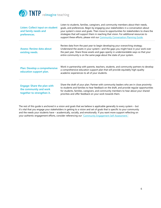

| Listen: Collect input on student<br>and family needs and<br>preferences.                   | Listen to students, families, caregivers, and community members about their needs,<br>goals, and preferences. Begin by engaging your stakeholders in a conversation about<br>your system's vision and goals. Then move to opportunities for stakeholders to share the<br>strategies that will support them in reaching that vision. For additional resources to<br>support these efforts, please visit our Community Conversation Planning Guide. |
|--------------------------------------------------------------------------------------------|---------------------------------------------------------------------------------------------------------------------------------------------------------------------------------------------------------------------------------------------------------------------------------------------------------------------------------------------------------------------------------------------------------------------------------------------------|
| <b>Assess: Review data about</b><br>existing needs.                                        | Review data from the past year to begin developing your overarching strategy.<br>Understand the assets in your system—and the gaps you might have in your work over<br>the past year. Share those assets and gaps openly in understandable ways so that your<br>entire community is on the same page about the state of your system.                                                                                                              |
| Plan: Develop a comprehensive<br>education support plan.                                   | Work in partnership with parents, teachers, students, and community partners to develop<br>a comprehensive education support plan that will provide equitably high-quality<br>academic experiences to all of your students.                                                                                                                                                                                                                       |
| <b>Engage: Share the plan with</b><br>the community and work<br>together to strengthen it. | Share the draft of your plan. Partner with community leaders who are in close proximity<br>to students and families to hear feedback on the draft, and provide regular opportunities<br>for students, families, caregivers, and community members to hear about your shared<br>priorities and offer feedback on your work towards them.                                                                                                           |

The rest of this guide is anchored in a vision and goals that we believe is applicable generally to every system – but it's vital that you engage your stakeholders in getting to a vision and set of goals that is specific to your community and the needs your students have – academically, socially, and emotionally. If you want more support reflecting on your authentic engagement efforts, consider referencing our ["Community Engagement](https://tntp.org/student-experience-toolkit/view/community-engagement-self-assessment) Self-Assessment."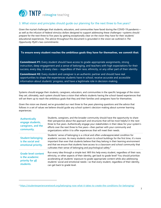

# <span id="page-6-0"></span>3. What vision and principles should guide our planning for the next three to five years?

Given the myriad challenges that students, educators, and communities have faced during the COVID-19 pandemic as well as the infusion of federal stimulus dollars designed to support addressing these challenges—systems should prepare for the next three to five years by getting exceptionally clear on the vision they have for their students' educational experiences. The advice throughout this document is grounded in the vision we outlined in *The Opportunity Myth*'s two commitments:

# **To ensure every student reaches the ambitious goals they have for themselves, we commit that:**

**Commitment #1:** Every student should have access to grade-appropriate assignments, strong instruction, deep engagement and a sense of belonging, and teachers with high expectations for their success, every day, in every class – regardless of their race, ethnicity, or any other part of their identity.

**Commitment #2:** Every student and caregiver is an authentic partner and should have real opportunities to shape the experiences students have in school, receive accurate and accessible information about students' progress, and have a legitimate role in decision-making.

Systems should engage their students, caregivers, educators, and communities in the specific language of the vision they set; ultimately, each system should have a vision that reflects students having the school-based experiences that will set them up to reach the ambitious goals that they and their families and caregivers have for themselves.

Given the vision we shared, we've grounded our next three to five years planning questions and the advice that follows in a set of values we believe should guide any school system's decision-making about summer learning experiences:

| <b>Authentically</b><br>engage students,<br>caregivers, and the<br>community.  | Students, caregivers, and the broader community should have the opportunity to share<br>their perspective about the approach and structures that will be most helpful in the next<br>three to five years. Authentically engage your stakeholders in their ideas for your system's<br>efforts over the next three to five years—then partner with your community and<br>organizations within it to offer experiences that will meet their needs.       |
|--------------------------------------------------------------------------------|-------------------------------------------------------------------------------------------------------------------------------------------------------------------------------------------------------------------------------------------------------------------------------------------------------------------------------------------------------------------------------------------------------------------------------------------------------|
| <b>Student belonging</b><br>is the social and<br>emotional priority.           | Students' sense of belonging is a critical and often underappreciated condition for<br>academic success. As many students return to school buildings for the first time, it's more<br>important than ever that students believe that they belong in their learning environment<br>and that we ensure that students have access to a classroom and school community that<br>cultivates their sense of belonging and psychological safety. <sup>2</sup> |
| <b>Grade-level content</b><br>is the academic<br>priority for all<br>students. | Run every idea through a simple test: Will this help every student, regardless of their race,<br>ethnicity, or other aspects of their identity, get back to grade level? You should prioritize<br>accelerating all students' exposure to grade-appropriate content while also addressing<br>students' social and emotional needs-so that every student, regardless of their identity,<br>can get back to grade level.                                 |

<sup>2</sup> <https://studentexperiencenetwork.org/belonging-now-what-it-takes-to-create-the-conditions-for-belonging/>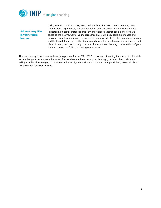

**Address inequities in your system head-on.**

Losing so much time in school, along with the lack of access to virtual learning many students have experienced, has exacerbated existing inequities and opportunity gaps. Repeated high-profile instances of racism and violence against people of color have added to the trauma. Center your approaches on creating equitable experiences and outcomes for all your students, regardless of their race, identity, native language, learning and thinking differences, or other background characteristics. Examine every decision and piece of data you collect through the lens of how you are planning to ensure that *all* your students are successful in the coming school years.

This work is easy to skip over in the rush to prepare for the 2021-2022 school year. Spending time here will ultimately ensure that your system has a litmus test for the ideas you have. As you're planning, you should be consistently asking whether the strategy you've articulated is in alignment with your vision and the principles you've articulated will guide your decision-making.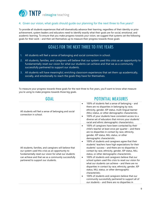

# <span id="page-8-0"></span>4. Given our vision, what goals should guide our planning for the next three to five years?

To provide all students experiences that will dramatically advance their learning, regardless of their identity or prior achievement, system leaders and educators need to identify exactly what their goals are for social, emotional, and academic learning. To ensure that you make progress towards your vision, we suggest that systems set the following goals for their work – and then set themselves up to measure their progress towards those goals:

# GOALS FOR THE NEXT THREE TO FIVE YEARS

- **1.** All students will feel a sense of belonging and social connection in school.
- **2.** All students, families, and caregivers will believe that our system used this crisis as an opportunity to fundamentally reset our vision for what our students can achieve and that we as a community successfully partnered to support our students.
- **3.** All students will have meaningful, enriching classroom experiences that set them up academically, socially, and emotionally to reach the goals they have for themselves.

To measure your progress towards these goals for the next three to five years, you'll want to know what measure you're using to make progress towards those big goals.

| GOAL                                                                                                                                                                                                                                                              | <b>POTENTIAL MEASURES</b>                                                                                                                                                                                                                                                                                                                                                                                                                                                                                                                                                                                                                                                                                                                                                                                                                                                                                                                                                                                    |  |  |
|-------------------------------------------------------------------------------------------------------------------------------------------------------------------------------------------------------------------------------------------------------------------|--------------------------------------------------------------------------------------------------------------------------------------------------------------------------------------------------------------------------------------------------------------------------------------------------------------------------------------------------------------------------------------------------------------------------------------------------------------------------------------------------------------------------------------------------------------------------------------------------------------------------------------------------------------------------------------------------------------------------------------------------------------------------------------------------------------------------------------------------------------------------------------------------------------------------------------------------------------------------------------------------------------|--|--|
| All students will feel a sense of belonging and social<br>connection in school.                                                                                                                                                                                   | 100% of students feel a sense of belonging - and<br>$\bullet$<br>there are no disparities in belonging by race,<br>ethnicity, gender, IEP status, multi-lingual learner<br>(MLL) status, or other demographic characteristic.<br>100% of your students have consistent access to a<br>$\bullet$<br>diverse set of educators that mirrors your students'<br>racial and ethnic demographic characteristics.                                                                                                                                                                                                                                                                                                                                                                                                                                                                                                                                                                                                    |  |  |
| All students, families, and caregivers will believe that<br>our system used this crisis as an opportunity to<br>fundamentally reset our vision for what our students<br>can achieve and that we as a community successfully<br>partnered to support our students. | 100% of caregivers have been contacted by their<br>$\bullet$<br>child's teacher at least once per quarter - and there<br>are no disparities in contact by race, ethnicity,<br>gender, IEP status, MLL status, or other<br>demographic characteristic.<br>100% of students and caregivers agree that their<br>٠<br>students' teachers have high expectations for their<br>students' success - and there are no disparities in<br>contact by race, ethnicity, gender, IEP status, MLL<br>status, or other demographic characteristic.<br>100% of students and caregivers believe that our<br>$\bullet$<br>school system used this crisis to reset our vision for<br>what our students can achieve – and there are no<br>disparities in contact by race, ethnicity, gender, IEP<br>status, MLL status, or other demographic<br>characteristic.<br>100% of students and caregivers believe that our<br>٠<br>community successfully partnered to support all of<br>our students - and there are no disparities in |  |  |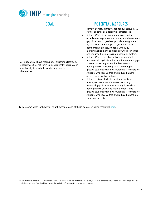

# GOAL POTENTIAL MEASURES

|                                                                                                                                                                                   | contact by race, ethnicity, gender, IEP status, MLL<br>status, or other demographic characteristic.                                                                                                                                                                                                                                                                                                                                                                                                                                                                                                                                                                                                                                                                                                                                                                                                                                                                                                                                                             |
|-----------------------------------------------------------------------------------------------------------------------------------------------------------------------------------|-----------------------------------------------------------------------------------------------------------------------------------------------------------------------------------------------------------------------------------------------------------------------------------------------------------------------------------------------------------------------------------------------------------------------------------------------------------------------------------------------------------------------------------------------------------------------------------------------------------------------------------------------------------------------------------------------------------------------------------------------------------------------------------------------------------------------------------------------------------------------------------------------------------------------------------------------------------------------------------------------------------------------------------------------------------------|
| All students will have meaningful, enriching classroom<br>experiences that set them up academically, socially, and<br>emotionally to reach the goals they have for<br>themselves. | At least 75% <sup>3</sup> of the assignments our students<br>$\bullet$<br>experience are grade-appropriate, and there are no<br>gaps in access to grade-appropriate assignments<br>by classroom demographics (including racial<br>demographic groups, students with IEPs,<br>multilingual learners, or students who receive free<br>and reduced lunch) across our school or system.<br>At least 75% of the observations we conduct<br>represent strong instruction, and there are no gaps<br>in access to strong instruction by classroom<br>demographics (including racial demographic<br>groups, students with IEPs, multilingual learners, or<br>students who receive free and reduced lunch)<br>across our school or system.<br>At least 6 % of students meet standards of<br>mastery on system-wide assessments. Any<br>historical gaps in academic mastery by student<br>demographics (including racial demographic<br>groups, students with IEPs, multilingual learners, or<br>students who receive free and reduced lunch) are<br>shrinking by $\_\%$ . |

To see some ideas for how you might measure each of these goals, see some resources [here.](https://tntp.org/assets/covid-19-toolkit-resources/Reflection_Tool_for_3-5_Year_Planning.pdf)

<sup>&</sup>lt;sup>3</sup> Note that we suggest a goal lower than 100% here because we realize that students may need to experience assignments that fill in gaps in belowgrade-level content. This should not occur the majority of the time for any student, however.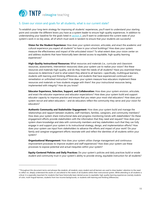

# <span id="page-10-0"></span>5. Given our vision and goals for all students, what is our current state?

To establish your long-term strategy for improving all students' experiences, you'll want to understand your starting point and consider the different levers you have as a system leader to ensure high-quality experiences. In addition to understanding your baseline for the goals listed in **section 4**, you'll want to understand the current state of your system's work in six key areas, all of which must work in tandem to ensure that your students are successful:

**Vision for the Student Experience:** How does your system envision, articulate, and enact the academic and cultural experience you expect all students<sup>4</sup> to have in your school buildings? How does your system measure the effectiveness and impact of the articulated vision? To what extent does your vision center on and address students that have historically been denied access to equitable, high-quality learning experiences?

**High-Quality Instructional Resources:** What resources and materials (i.e., curricular and classroom resources, assessments, intervention resources) does your system use to realize your vision? Are these resources and materials high-quality, and do they meet the needs of all students? Have you examined these resources to determine if and to what extent they attend to all learners—specifically, multilingual learners, students with learning and thinking differences, and students that have experienced continued overremediation or unfinished instruction? How does your system measure how educators implement these resources and materials or how students engage with them? Are your instructional resources being implemented with integrity? How do you know?

**Educator Experience, Selection, Support, and Collaboration:** How does your system envision, articulate, and enact the educator experience and educator expectations? How does your system build and support educator capacity to improve practice and ensure that you retain your most vital educators? How does your system recruit and select educators – and do educators reflect the community they serve and your vision for educators?

**Authentic Community and Stakeholder Engagement:** How does your system build and manage the relationships and rapport between students, staff members, families, caregivers, and community members? How does your system share instructional data and progress monitoring trends with stakeholders? Do these engagement efforts provide stakeholders with the information that they need and request? How does your system share knowledge and data with community members and key stakeholders such that they can fully engage in and support your system in its instructional strategy, design, and implementation efforts? How does your system use input from stakeholders to advance the efforts and impact of your work? Do your family and caregiver engagement efforts resonate with and reflect the identities of all students within your system?

**Organizational Management:** How does your system utilize change management and continuous improvement processes to improve student and staff experiences? How does your system use these processes to expose potential and actual inequities within your system?

**Equity-Centered Policies and Daily Practices:** Do your system's policies and daily practices build or erode student and community trust in your system's ability to provide strong, equitable instruction for all students?

<sup>4</sup> Throughout this document terms and phrases like *students*, *all students*, *every student* and *all learners* are used to draw leaders' attention to the need to reflect on, deeply understand the assets of, and attend to the needs of *all* students within their instructional system. While attending to all students is critical, it is especially important for students that have historically been denied access to equitable, high-quality learning experiences (namely students of color, multi-lingual learners, students from low-income backgrounds, or students with learning and thinking differences).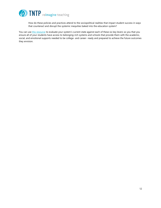

How do these policies and practices attend to the sociopolitical realities that impact student success in ways that counteract and disrupt the systemic inequities baked into the education system?

You can use this [resource](https://tntp.org/assets/covid-19-toolkit-resources/Reflection_Tool_for_3-5_Year_Planning.pdf) to evaluate your system's current state against each of these six key levers so you that you ensure all of your students have access to belonging-rich systems and schools that provide them with the academic, social, and emotional supports needed to be college- and career- ready and prepared to achieve the future outcomes they envision.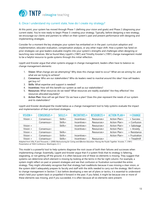

# <span id="page-12-0"></span>6. Once I understand my current state, how do I create my strategy?

At this point, your system has moved through Phase 1 (defining your vision and goals) and Phase 2 (diagnosing your current state). You're now ready to begin Phase 3: creating your strategy. Typically, before designing a new strategy, we encourage our clients and partners to reflect on their system's past and present performance with designing and implementing strategies.

Consider for a moment the key strategies your system has embarked on in the past: curriculum adoption and implementation, educator evaluation, compensation analysis, or any other major shift. How a system has fared on prior strategies can give leaders evaluable insights into your system's strengths and challenges when designing or launching new initiatives. We've found Mary Lippitt's (1987) and Timothy Knoster's (1991) change management model to be a helpful resource to guide systems through this initial reflection.

Lippitt and Knoster argue that when systems engage in change management, leaders often have to balance six change management elements:

- 1. **Vision:** What change are we attempting? Why does this change need to occur? What are we aiming for, and what are we trying to achieve?
- 2. **Consensus:** Who are our stakeholders? Who do leaders need to marshal around this idea? How will leaders get buy-in?
- 3. **Skills:** What expertise and support is needed?
- 4. **Incentives:** How will this benefit our system as well as our stakeholders?
- 5. **Resources:** What resources do we need? What resources are readily available? Are they effective? Are resources allocated equitably?
- 6. **Action Plan:** How will we get there? Do we have a plan? Does this plan represent the needs of our system and its stakeholders?

Lippitt and Knoster developed the model below as a change management tool to help systems evaluate the impact and implementation of their prioritized strategies.

| $VISION+$  | $CONSENSUS +$ | $SKILLS+$ | $INCENTIVES +$ | $RESOURCES+$ | $A$ $T$ $I$ $O$ $N$ $PL$ $A$ $N$ $+$ | $=$ CHANGE      |
|------------|---------------|-----------|----------------|--------------|--------------------------------------|-----------------|
| Vision $+$ | Consensus+    | Skills+   | Incentives+    | Resources+   | Action Plan+                         | $=$ Success     |
|            | Consensus+    | Skills+   | Incentives+    | Resources+   | Action Plan+                         | $=$ Confusion   |
| Vision $+$ |               | Skills+   | Incentives+    | Resources+   | Action Plan+                         | $=$ Sabotage    |
| Vision $+$ | Consensus+    |           | Incentives+    | Resources+   | Action Plan+                         | $=$ Anxiety     |
| Vision $+$ | Consensus+    | $Skills+$ |                | Resources+   | Action Plan+                         | $=$ Resistance  |
| Vision $+$ | Consensus+    | Skills+   | Incentives+    |              | Action Plan+                         | $=$ Frustration |
| Vision $+$ | Consensus+    | Skills+   | Incentives+    | Resources+   |                                      | $=$ Treadmill   |

Adapted from Villa, R and Thousand, J. (2000*) Restructuring for Caring and Effective Education: Piecing the Puzzle Together*. Knoster, T. (1991) Presentation at TASH Conference. Washington, D. C.

This model is a powerful tool to help systems diagnose the root cause of both their failures and successes when implementing change. Essentially, Lippitt and Knoster argue that if a system finds that its strategy is faltering, stagnating, or not getting off the ground, it is often because one of these six elements is missing. They suggest that systems can determine which element is missing by looking at the terms in the far-right column. For example, a system might reflect on past or present strategies and see that confusion or frustration surrounded the entire strategy. They might ultimately recognize that that strategy had roadblocks because it was missing a clear vision, or the system didn't adequately prepare its faculty and staff with the skills needed to carry out the strategy. We'll return to change management in Section 7, but before developing a new set of plans or tactics, it is essential to understand what's held your system back or propelled it forward in the past. If you failed, it might be because one or more of these elements was missing, and if you succeeded, it is often because all six elements were present.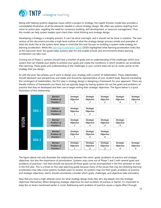

Along with helping systems diagnose issues within a project or strategy, the Lippitt-Knoster model also provides a consolidated illustration of all the elements needed in robust strategy design. We often see systems leapfrog from vision to action plan, negating the need for consensus building, skill development, or resource management. Thus, this model can help system leaders spot-check their initial thinking and strategy design.

Developing a strategy is a lengthy process. It can't be done overnight, and it should not be done in isolation. The next section of this document provides a high-level outline of what the strategy design process entails and examples of what this looks like at the system level. Keep in mind that this tool focuses on building a system-wide strategy for learning acceleration. While the [Learning Acceleration Guide](https://tntp.org/assets/set-resources/TNTP_Learning_Acceleration_Guide_Final.pdf) (2020) highlighted what learning acceleration looks like at the classroom level, this guide helps systems plan for and enable schools and environments where learning acceleration can take root.

Coming out of Phase 2, systems should have a shortlist of goals and an understanding of the challenges within your system that can impede your ability to achieve your goals and create the conditions in which students can accelerate their learning. These goals and understanding of the challenges in your current state will act as center points to the strategy that you design.

As with the prior two phases, you'll want to design your strategy with a cohort of stakeholders. These stakeholders should represent vast perspectives and needs and should be representative of your student body. Beyond marshaling this contingent of stakeholders, the first step in strategy design is designing a framework for your approach. There are literally millions of frameworks out there, but we typically begin by having systems list out the goals and problems of practice that they've developed and then use to begin writing their strategic objectives. The figure below is a quick illustration of this relationship.



The figure above not only illustrates the relationship between the vision, goals, problems of practice and strategic objectives, but also the importance of prioritization. Systems may come out of Phase 1 and 2 with several goals and problems of practices—but they should not assume all those goals can be accomplished in the first semester or even in the first year. This is a three-to-five-year planning guide because many of the issues that may be inhibiting learning acceleration may take some systems multiple years to resolve. As systems map out their goals, problems of practice, and strategic objectives, teams should consistently consider which goals, challenges, and objectives take precedent.

Now that you have a high-altitude vision for what strategy design looks like, let's dig deeper into the strategic objectives themselves. When designing strategic objectives for each problem of practice or barrier, it's important to keep the six levers mentioned earlier in mind. Addressing each problem of practice causes a ripple effect through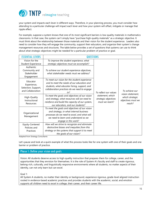

your system and impacts each lever in different ways. Therefore, in your planning process, you must consider how attending to a particular challenge will impact each lever and how your system will offset, mitigate or manage that ripple effect.

For example, suppose a system knows that one of its most significant barriers is low-quality materials in mathematics classrooms. In that case, the system can't simply have "purchase high-quality materials" as a strategic objective. It must think about the relationship between those materials and their vision for the student experience. Leaders also need to consider how they will engage the community, support their educators, and organize their system's change management resources and structures. The table below provides a set of questions that systems can use to think about what strategic objectives might be needed for a particular problem of practice or goal.

| <b>ESSENTIAL LEVERS</b>                                             | <b>QUESTIONS</b>                                                                                                                                                                                           |                                                            |                                                                      |  |  |
|---------------------------------------------------------------------|------------------------------------------------------------------------------------------------------------------------------------------------------------------------------------------------------------|------------------------------------------------------------|----------------------------------------------------------------------|--|--|
| Vision for the<br>Student Experience                                | To improve the student experience, what<br>strategic objectives must we accomplish?                                                                                                                        |                                                            |                                                                      |  |  |
| Authentic<br>Community and<br>Stakeholder<br>Engagement             | To achieve our student experience objectives,<br>what stakeholder needs must we address?                                                                                                                   |                                                            |                                                                      |  |  |
| Educator<br>Experience,<br>Selection, Support,<br>and Collaboration | To meet our vision for the student experience<br>and to meet the needs of our educators and<br>students, what educator hiring, support, and<br>collaboration practices do we need to engage<br>in?         | To reflect our values                                      | To achieve our                                                       |  |  |
| High-Quality<br>Instructional<br>Resources                          | To meet the goals and objectives of our vision<br>and strategy, what resources will we need to<br>reinforce and build the capacity of our system,<br>our educators, and our students?                      | statement, which<br>strategic objectives<br>must we reach? | vision statement,<br>which strategic<br>objectives must we<br>reach? |  |  |
| Organizational<br>Management                                        | To meet the goals and objectives of our vision<br>and strategy, in what internal business<br>processes do we need to excel, and what will<br>we need to learn and understand as we<br>engage in this work? |                                                            |                                                                      |  |  |
| Equity-Centered<br>Policies and<br>Practices                        | How will we strive to recognize and eliminate<br>destructive biases and inequities from this<br>strategy or the systems that support it to meet                                                            |                                                            |                                                                      |  |  |
|                                                                     | the goals of our vision?                                                                                                                                                                                   |                                                            |                                                                      |  |  |

Adapted from Strategy Consultants

Let's pause and look at a quick example of what this process looks like for one system with one of their goals and one barrier or problem of practice.

# Phase 1: Define your vision and goals

Vision: All students deserve access to high-quality instruction that prepares them for college, career, and the opportunities that they envision for themselves. It is the role of System A's faculty and staff to create rigorous, belong-rich, culturally, and linguistically responsive environments where all students, no matter aspects of their identity, can not only learn but can excel.

Goal 1:

All System A students, no matter their identity or background, experience rigorous, grade-level aligned instruction rooted in evidence-based academic practices and provides students with the academic, social, and emotion supports all children need to excel in college, their career, and their career life.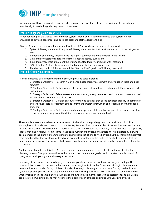

All students will have meaningful, enriching classroom experiences that set them up academically, socially, and emotionally to reach the goals they have for themselves.

# Phase 2: Diagnose your current state

When reflecting on the Lippitt-Knoster model, system leaders and stakeholders shared that System A often struggled to develop consensus and build educator and staff capacity and skill.

**System A** named the following Barriers and Problems of Practice during this phase of their work.

- 1. System A literacy data, specifically its K-2 literacy data, denotes that most students do not read at gradelevel.
- 2. Elementary and literacy teachers have the highest turnover and mobility rates in the system.
- 3. 2 in 5 literacy classrooms utilize the district-adopted literacy curriculum
- 4. 1 in 5 literacy teachers implement the system-adopted literacy curriculum with integrated
- 5. 57% of System A students show some level of unfinished literacy instruction.
- 6. The challenges with K-2 literacy meant that System A's  $4<sup>th</sup>$ -grade NAEP literacy scores fell.

# Phase 3: Create your strategy

Barrier 1: Literacy data is trailing behind district, region, and state averages.

B1 Strategic Objective 1: Research K-2 evidence-based literacy assessment and evaluation tools and best practices.

B1 Strategic Objective 2: Gather a cadre of educators and stakeholders to determine K-2 assessment and evaluation needs.

B1 Strategic Objective 3: Select assessment tools that align to system needs and common state or national K-2 benchmarks or measures of success.

B1 Strategic Objective 4: Develop an educator training strategy that builds educator capacity to administer and effectively utilize assessment data to inform and improve instruction and student performance for all students.

B1 Strategic Objective 5: Build or adopt a data management platform that supports leaders and educators to track academic progress at the district, school, classroom, and student level.

The example above is a small-scale representation of what this strategic design work can and should look like. Although small in scale, we do want to point a few key features. First, System A's list of barriers is not exhaustive. It is just five to six barriers. Moreover, this list focuses on a particular content area—literacy. As systems begin this process, leaders may find it helpful to limit teams to a specific number of barriers. For example, they might start by allowing each member of the planning team to generate an individual list of one to five barriers, but they should ultimately tell team members that they will look for trends and eventually develop a collective list of one to five barriers that the entire team can agree on. This work is challenging enough without having an infinite number of problems of practice to consider.

Another critical point is that System A focused on one content area first. Leaders should find a way to structure the planning process. Give your teams time to think about one content area, grade band, or system deeply instead of trying to tackle all your goals and strategies at once.

In looking at this example, we also hope you can more plainly see why this is a three-to-five-year strategy. The representation above focuses on one barrier, and the strategic objectives that System A's strategic planning team developed for that barrier. Doing this level of in-depth strategic planning acts as a natural forcing mechanism for systems. It pushes participants to step back and determine which priorities or objectives need to come first and on what timeline. In this example, System A might spend two to three months researching assessment and evaluation tools (Strategic Objective 1) and may not meet the goals of each of these objectives until year two or three.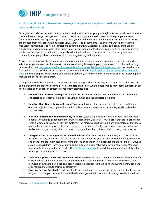

# <span id="page-16-0"></span>7. How might you implement and manage change in your system to realize your long-term vision and strategy?

Once you've collaboratively articulated your vision and prioritized your yearly strategic priorities, you'll want to ensure that you have a change management approach that will act as your leadership team's strategy implementation framework. Effective management approaches help systems and teams manage the transitions and transformations experienced from new organizational goals, values, processes, or standards. The primary purpose of all change management initiatives is to help organizations or school systems undertake practices and behaviors that help stakeholders and individuals within that organization accept and adapt to change. Your efforts to realize your vision for the student experience and reach your goals will ultimately depend on every member of your system and community changing behaviors, some of which are longstanding and ingrained.

As you consider how you'll implement your strategy and manage your organizational improvement, it's important to select a change management framework that you consistently leverage in your system. You could choose from any number of models: John Kotter's 8[-Step Process for Leading Change,](https://www.kotterinc.com/8-steps-process-for-leading-change/) McKinsey's I[nfluence Model](https://www.mckinsey.com/business-functions/organization/our-insights/the-four-building-blocks--of-change) that describes the four building blocks of change, or Dan and Chip Heath's thinking in *[Switch: How to Change Things when Change is](https://heathbrothers.com/books/switch/)  [Hard,](https://heathbrothers.com/books/switch/)* are two examples. Which model you choose is ultimately less important than choosing one and leveraging it to manage the change in your system.

It's important to realize that having a change management approach does not negate the need for leaders to lead and managers to manage their teams, projects, and responsibilities. Even the best change management approach can fail if leaders don't engage in effective management practices like:

- 1. **Use Effective Decision Making:** A systematic process that supports teams and individuals in developing and selecting alternative solutions for solving common and sophisticated problems.
- 2. **Establish Clear Goals, Deliverables, and Timelines:** Broader strategic plans are often paired with more granular project- or work- plans that outline daily actions and owners and include key goals, deliverables, and due dates.
- 3. **Plan and Implement with Sustainability in Mind:** Systems experience incredible turnover and educator mobility. On average, superintendent tenure is approximately six years—much less if they are in large urban centers, women, or in poverty-stricken systems.<sup>5</sup> Therefore, we can't develop plans and strategies that speak to a level of *personnel stasis* that doesn't exist in most scenarios. Build processes and procedures that are nimble and designed in ways that minimize or mitigate flaws that act as obstacles to long-term success.
- 4. **Delegate Tasks to the Right Teams and Individuals:** Effective managers often delegate responsibilities based on capacity rather than job titles. In the first few months or years of effective strategy implementation and change management, leaders may find that job titles and even job descriptions are not the best ways to assign responsibilities. These items may now be outdated and misaligned with your new vision. Managers may need to lean on leadership models like [situational leadership](https://situational.com/blog/the-four-leadership-styles-of-situational-leadership/) to match team members and stakeholders with a specific strategic need or task.
- 5. **Train and Support Teams and Individuals When Needed:** We hope everyone in a role has the knowledge, skills, mindsets, and habits needed to be effective in that role, but more likely than not, they won't. Team members and stakeholders need and deserve learning experiences that help them build the knowledge and skills required to execute their roles effectively.
- 6. **Give and Receive Feedback:** Feedback should not be relegated to a person's failures, and it should not only be given to those you manage. Influential leaders recognize the importance of sharing positive and critical

<sup>5</sup> Source: *[Hire Expectations](https://www.broadcenter.org/wp-content/uploads/2018/05/TheBroadCenter_HireExpectations_May2018.pdf)* (May 2018), The Broad Center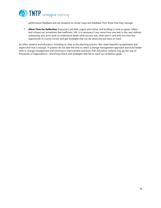

performance feedback and are receptive to similar input and feedback from those that they manage.

7. **Allow Time for Reflection:** Everyone's job feels urgent and critical, and building in time to pause, reflect, and critique can sometimes feel inefficient. Still, it is necessary if you move from one task to the next without autopsying your prior work to understand better what success was, what wasn't, and why you miss the opportunity to course-correct and get strategies that can be saved and put back on track.

<span id="page-17-0"></span>So often, systems and educators, including us, stop at the planning process. We create beautiful spreadsheets and expect that that is enough. If systems do not take the time to select a change management approach and build leader skills in change management and continuous improvement practices, then education systems may go the way of thousands of organizations—launching visions and strategies that fail to reach our ambitious goals.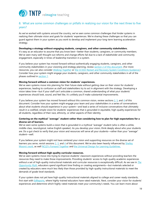

# 8. What are some common challenges or pitfalls in realizing our vision for the next three to five years?

As we've worked with systems around the country, we've seen some common challenges that hinder systems in realizing their ultimate vision and goals for students' experiences. We're sharing these challenges so that you can guard against them in your system as you work to develop and implement your long-term learning acceleration strategy.

### **Developing a strategy without engaging students, caregivers, and other community stakeholders.**

It's easy as an educator to assume that you know best—better than students, caregivers, or community members. We've seen many well-thought out reforms and change efforts fail due to a lack of stakeholder and community engagement, especially in times of leadership transition in a system.

If you believe your system has moved forward without authentically engaging students, caregivers, and other community stakeholders in your visioning and strategy planning, review **section 2 of this document**. (For more resources, you can also consider *[Walking Together](https://tntp.org/walking-together)* or [the CCSSO Restart and Recovery System Conditions Guidance.\)](https://753a0706.flowpaper.com/RESTARTRECOVERYCONSIDERATIONSFORTEACHINGANDLEARNINGSYSTEMCOpdf/#page=6) Consider how your system might engage your students, caregivers, and other community stakeholders in all of the phases outlined in section 1.

### **Moving forward without a common vision for students' experiences.**

We've seen systems move into planning for their future state without getting clear on their vision for students' experiences, leading to confusion as staff and stakeholders try to act in alignment with the strategy. Developing a vision takes time—but if your staff can't articulate a common, shared understanding of what your students' experiences should look, sound, and feel like, it's unlikely you'll make substantial improvements.

If you believe your system has moved forward without this common vision, review sections 2, 3, and 4 of this document. Consider how your system might engage your team and your stakeholders in a series of conversations about what students should experience in your system—and lead a series of inclusive conversations that ultimately result in a codified, simple vision for students' experiences that is grounded in equitable, high-quality experiences for all students, regardless of their race, ethnicity, or other aspects of their identity.

# **Centering on the mythical "average" student rather than considering how to plan for high expectations for a diverse set of learners.**

We've seen some systems build a vision that is grounded in a mythical "average" student (who is often a white, middle-class, neurotypical, native English speaker). As you develop your vision, think deeply about who your students are. Do a gut check to verify that your vision and resources will serve all your students—rather than your "average" student—well.

If you believe your system might not have centered your vision and supporting resources on the diverse set of learners you serve, revisit sessions 2, 3, and 4 of this document. We've also been heavily influenced by [Shelley](https://www.youtube.com/watch?v=RYtUlU8MjlY)  [Moore's work](https://www.youtube.com/watch?v=RYtUlU8MjlY), as well [NCLD's Forward Together](https://www.ncld.org/research/forward-together/) and the Universal [Design for Learning Guidelines.](https://udlguidelines.cast.org/)

### **Moving forward without high-quality curricular resources.**

We've seen systems move into trying to improve students' classroom experiences without providing teachers the resources they need to make those improvements. Providing students' access to high-quality academic experiences without a set of high-quality instructional materials and curricular resources is exceptionally difficult. As we saw in *[The](https://opportunitymyth.tntp.org/the-weight-of-wasted-time)  [Opportunity Myth,](https://opportunitymyth.tntp.org/the-weight-of-wasted-time)* educators spend significant time finding or creating assignments—but materials selected or created by educators were much less likely than those provided by high-quality instructional materials to meet the demands of grade-level standards.

If your system does not yet have high-quality instructional materials aligned to college and career ready standards, first start with [EdReports,](https://www.edreports.org/) where highly-trained educators have rated materials. Next, consider your vision for students' experiences and determine which highly-rated materials meet your community's needs. You can learn more about